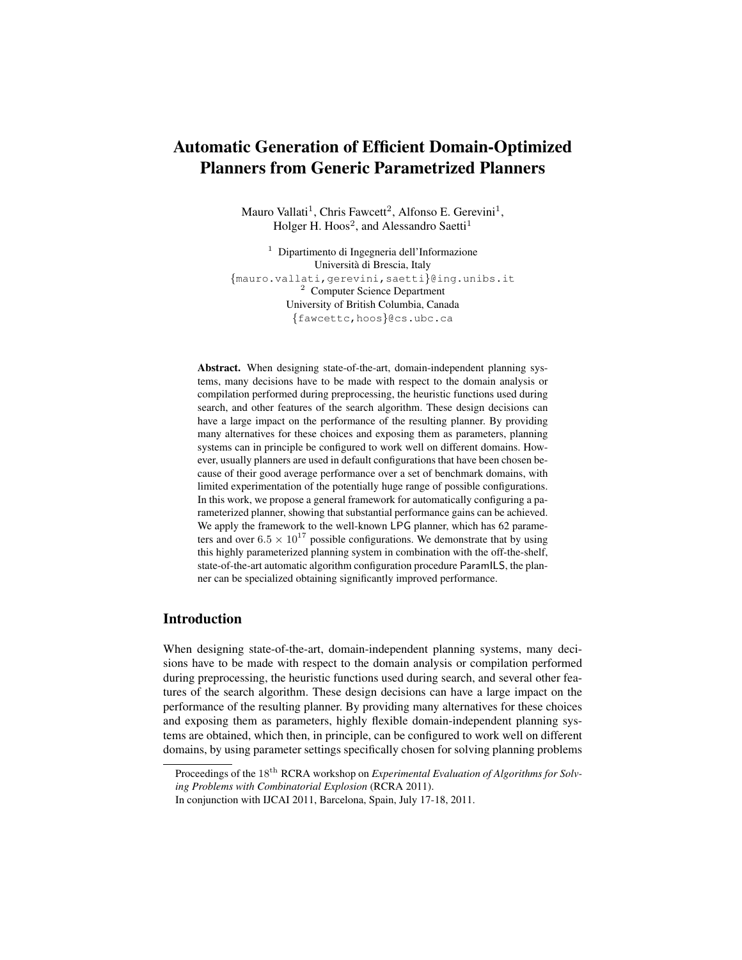# Automatic Generation of Efficient Domain-Optimized Planners from Generic Parametrized Planners

Mauro Vallati<sup>1</sup>, Chris Fawcett<sup>2</sup>, Alfonso E. Gerevini<sup>1</sup>, Holger H. Hoos<sup>2</sup>, and Alessandro Saetti<sup>1</sup>

<sup>1</sup> Dipartimento di Ingegneria dell'Informazione Universita di Brescia, Italy ` {mauro.vallati,gerevini,saetti}@ing.unibs.it <sup>2</sup> Computer Science Department University of British Columbia, Canada {fawcettc,hoos}@cs.ubc.ca

Abstract. When designing state-of-the-art, domain-independent planning systems, many decisions have to be made with respect to the domain analysis or compilation performed during preprocessing, the heuristic functions used during search, and other features of the search algorithm. These design decisions can have a large impact on the performance of the resulting planner. By providing many alternatives for these choices and exposing them as parameters, planning systems can in principle be configured to work well on different domains. However, usually planners are used in default configurations that have been chosen because of their good average performance over a set of benchmark domains, with limited experimentation of the potentially huge range of possible configurations. In this work, we propose a general framework for automatically configuring a parameterized planner, showing that substantial performance gains can be achieved. We apply the framework to the well-known LPG planner, which has 62 parameters and over  $6.5 \times 10^{17}$  possible configurations. We demonstrate that by using this highly parameterized planning system in combination with the off-the-shelf, state-of-the-art automatic algorithm configuration procedure ParamILS, the planner can be specialized obtaining significantly improved performance.

# Introduction

When designing state-of-the-art, domain-independent planning systems, many decisions have to be made with respect to the domain analysis or compilation performed during preprocessing, the heuristic functions used during search, and several other features of the search algorithm. These design decisions can have a large impact on the performance of the resulting planner. By providing many alternatives for these choices and exposing them as parameters, highly flexible domain-independent planning systems are obtained, which then, in principle, can be configured to work well on different domains, by using parameter settings specifically chosen for solving planning problems

Proceedings of the 18<sup>th</sup> RCRA workshop on *Experimental Evaluation of Algorithms for Solving Problems with Combinatorial Explosion* (RCRA 2011).

In conjunction with IJCAI 2011, Barcelona, Spain, July 17-18, 2011.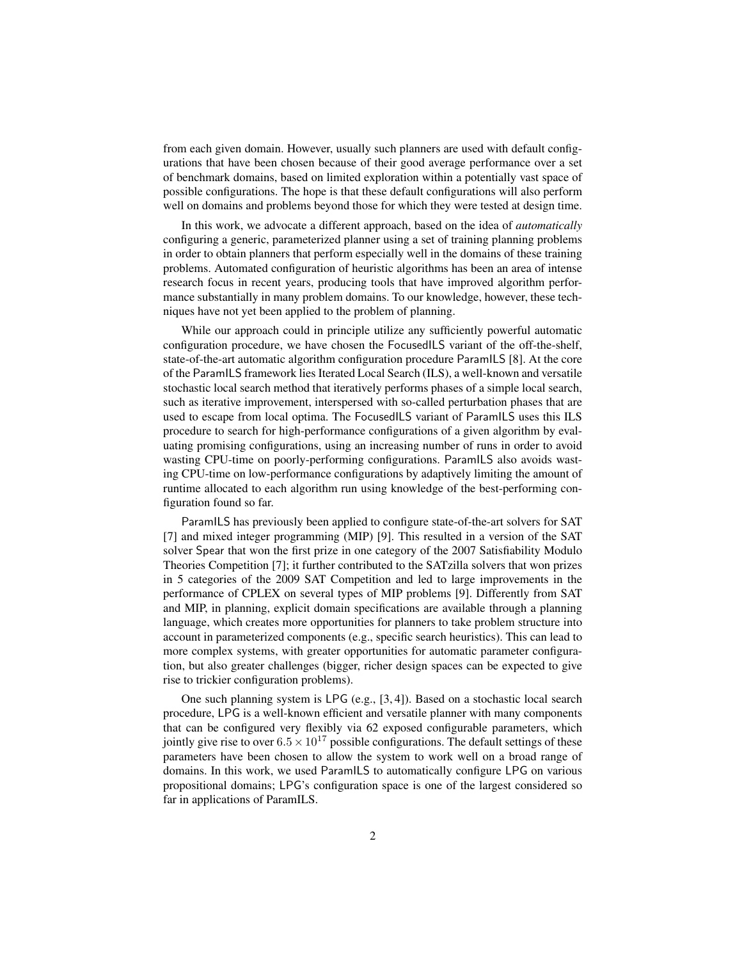from each given domain. However, usually such planners are used with default configurations that have been chosen because of their good average performance over a set of benchmark domains, based on limited exploration within a potentially vast space of possible configurations. The hope is that these default configurations will also perform well on domains and problems beyond those for which they were tested at design time.

In this work, we advocate a different approach, based on the idea of *automatically* configuring a generic, parameterized planner using a set of training planning problems in order to obtain planners that perform especially well in the domains of these training problems. Automated configuration of heuristic algorithms has been an area of intense research focus in recent years, producing tools that have improved algorithm performance substantially in many problem domains. To our knowledge, however, these techniques have not yet been applied to the problem of planning.

While our approach could in principle utilize any sufficiently powerful automatic configuration procedure, we have chosen the FocusedILS variant of the off-the-shelf, state-of-the-art automatic algorithm configuration procedure ParamILS [8]. At the core of the ParamILS framework lies Iterated Local Search (ILS), a well-known and versatile stochastic local search method that iteratively performs phases of a simple local search, such as iterative improvement, interspersed with so-called perturbation phases that are used to escape from local optima. The FocusedILS variant of ParamILS uses this ILS procedure to search for high-performance configurations of a given algorithm by evaluating promising configurations, using an increasing number of runs in order to avoid wasting CPU-time on poorly-performing configurations. ParamILS also avoids wasting CPU-time on low-performance configurations by adaptively limiting the amount of runtime allocated to each algorithm run using knowledge of the best-performing configuration found so far.

ParamILS has previously been applied to configure state-of-the-art solvers for SAT [7] and mixed integer programming (MIP) [9]. This resulted in a version of the SAT solver Spear that won the first prize in one category of the 2007 Satisfiability Modulo Theories Competition [7]; it further contributed to the SATzilla solvers that won prizes in 5 categories of the 2009 SAT Competition and led to large improvements in the performance of CPLEX on several types of MIP problems [9]. Differently from SAT and MIP, in planning, explicit domain specifications are available through a planning language, which creates more opportunities for planners to take problem structure into account in parameterized components (e.g., specific search heuristics). This can lead to more complex systems, with greater opportunities for automatic parameter configuration, but also greater challenges (bigger, richer design spaces can be expected to give rise to trickier configuration problems).

One such planning system is LPG (e.g., [3, 4]). Based on a stochastic local search procedure, LPG is a well-known efficient and versatile planner with many components that can be configured very flexibly via 62 exposed configurable parameters, which jointly give rise to over  $6.5 \times 10^{17}$  possible configurations. The default settings of these parameters have been chosen to allow the system to work well on a broad range of domains. In this work, we used ParamILS to automatically configure LPG on various propositional domains; LPG's configuration space is one of the largest considered so far in applications of ParamILS.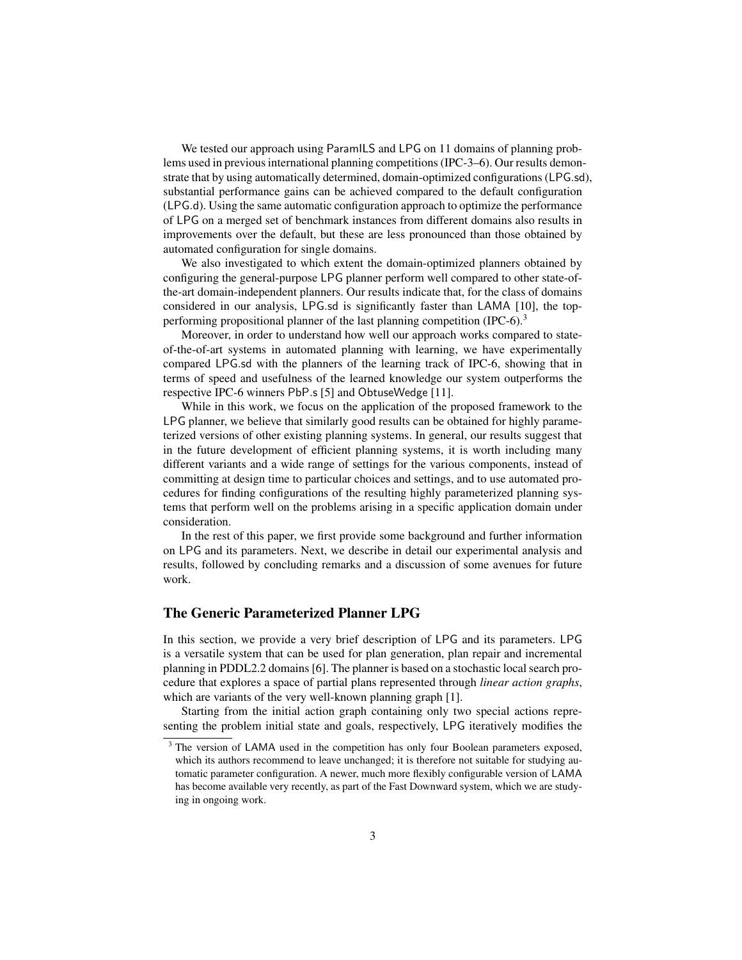We tested our approach using ParamILS and LPG on 11 domains of planning problems used in previous international planning competitions (IPC-3–6). Our results demonstrate that by using automatically determined, domain-optimized configurations (LPG.sd), substantial performance gains can be achieved compared to the default configuration (LPG.d). Using the same automatic configuration approach to optimize the performance of LPG on a merged set of benchmark instances from different domains also results in improvements over the default, but these are less pronounced than those obtained by automated configuration for single domains.

We also investigated to which extent the domain-optimized planners obtained by configuring the general-purpose LPG planner perform well compared to other state-ofthe-art domain-independent planners. Our results indicate that, for the class of domains considered in our analysis, LPG.sd is significantly faster than LAMA [10], the topperforming propositional planner of the last planning competition (IPC-6).<sup>3</sup>

Moreover, in order to understand how well our approach works compared to stateof-the-of-art systems in automated planning with learning, we have experimentally compared LPG.sd with the planners of the learning track of IPC-6, showing that in terms of speed and usefulness of the learned knowledge our system outperforms the respective IPC-6 winners PbP.s [5] and ObtuseWedge [11].

While in this work, we focus on the application of the proposed framework to the LPG planner, we believe that similarly good results can be obtained for highly parameterized versions of other existing planning systems. In general, our results suggest that in the future development of efficient planning systems, it is worth including many different variants and a wide range of settings for the various components, instead of committing at design time to particular choices and settings, and to use automated procedures for finding configurations of the resulting highly parameterized planning systems that perform well on the problems arising in a specific application domain under consideration.

In the rest of this paper, we first provide some background and further information on LPG and its parameters. Next, we describe in detail our experimental analysis and results, followed by concluding remarks and a discussion of some avenues for future work.

## The Generic Parameterized Planner LPG

In this section, we provide a very brief description of LPG and its parameters. LPG is a versatile system that can be used for plan generation, plan repair and incremental planning in PDDL2.2 domains [6]. The planner is based on a stochastic local search procedure that explores a space of partial plans represented through *linear action graphs*, which are variants of the very well-known planning graph [1].

Starting from the initial action graph containing only two special actions representing the problem initial state and goals, respectively, LPG iteratively modifies the

<sup>&</sup>lt;sup>3</sup> The version of LAMA used in the competition has only four Boolean parameters exposed, which its authors recommend to leave unchanged; it is therefore not suitable for studying automatic parameter configuration. A newer, much more flexibly configurable version of LAMA has become available very recently, as part of the Fast Downward system, which we are studying in ongoing work.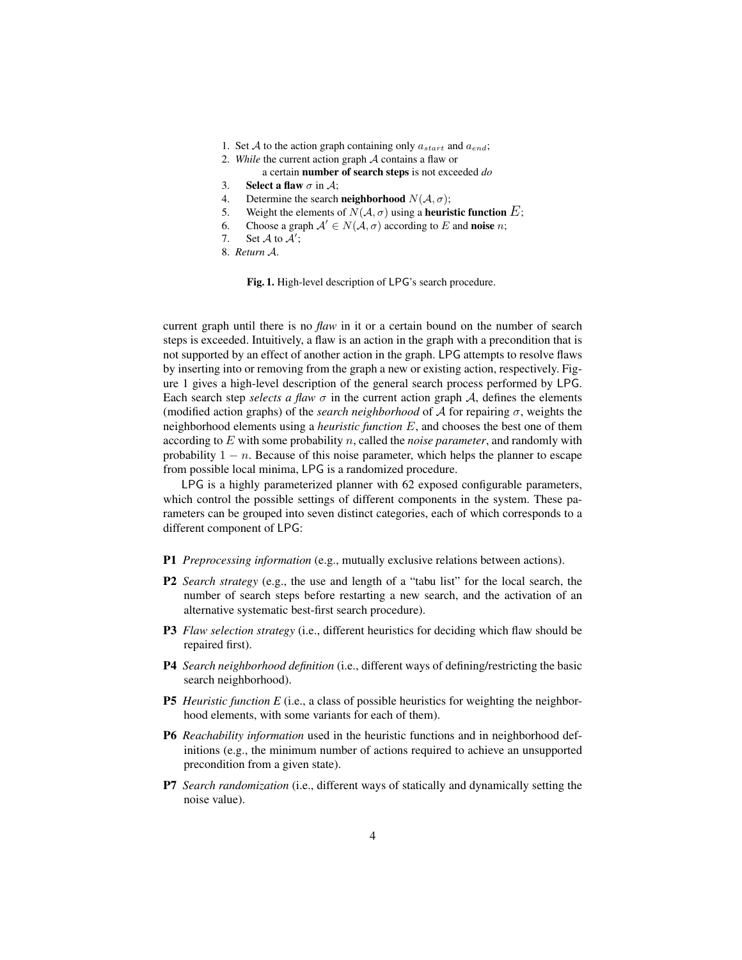- 1. Set A to the action graph containing only  $a_{start}$  and  $a_{end}$ ;
- 2. *While* the current action graph A contains a flaw or
	- a certain number of search steps is not exceeded *do*
- 3. Select a flaw  $\sigma$  in A:
- 4. Determine the search **neighborhood**  $N(A, \sigma)$ ;
- 5. Weight the elements of  $N(A, \sigma)$  using a **heuristic function** E;
- 6. Choose a graph  $\mathcal{A}' \in N(\mathcal{A}, \sigma)$  according to E and **noise** *n*;
- 7. Set  $\mathcal A$  to  $\mathcal A$ ';
- 8. *Return* A.

Fig. 1. High-level description of LPG's search procedure.

current graph until there is no *flaw* in it or a certain bound on the number of search steps is exceeded. Intuitively, a flaw is an action in the graph with a precondition that is not supported by an effect of another action in the graph. LPG attempts to resolve flaws by inserting into or removing from the graph a new or existing action, respectively. Figure 1 gives a high-level description of the general search process performed by LPG. Each search step *selects a flaw*  $\sigma$  in the current action graph A, defines the elements (modified action graphs) of the *search neighborhood* of  $A$  for repairing  $\sigma$ , weights the neighborhood elements using a *heuristic function* E, and chooses the best one of them according to E with some probability n, called the *noise parameter*, and randomly with probability  $1 - n$ . Because of this noise parameter, which helps the planner to escape from possible local minima, LPG is a randomized procedure.

LPG is a highly parameterized planner with 62 exposed configurable parameters, which control the possible settings of different components in the system. These parameters can be grouped into seven distinct categories, each of which corresponds to a different component of LPG:

- P1 *Preprocessing information* (e.g., mutually exclusive relations between actions).
- P2 *Search strategy* (e.g., the use and length of a "tabu list" for the local search, the number of search steps before restarting a new search, and the activation of an alternative systematic best-first search procedure).
- P3 *Flaw selection strategy* (i.e., different heuristics for deciding which flaw should be repaired first).
- P4 *Search neighborhood definition* (i.e., different ways of defining/restricting the basic search neighborhood).
- **P5** *Heuristic function E* (i.e., a class of possible heuristics for weighting the neighborhood elements, with some variants for each of them).
- P6 *Reachability information* used in the heuristic functions and in neighborhood definitions (e.g., the minimum number of actions required to achieve an unsupported precondition from a given state).
- P7 *Search randomization* (i.e., different ways of statically and dynamically setting the noise value).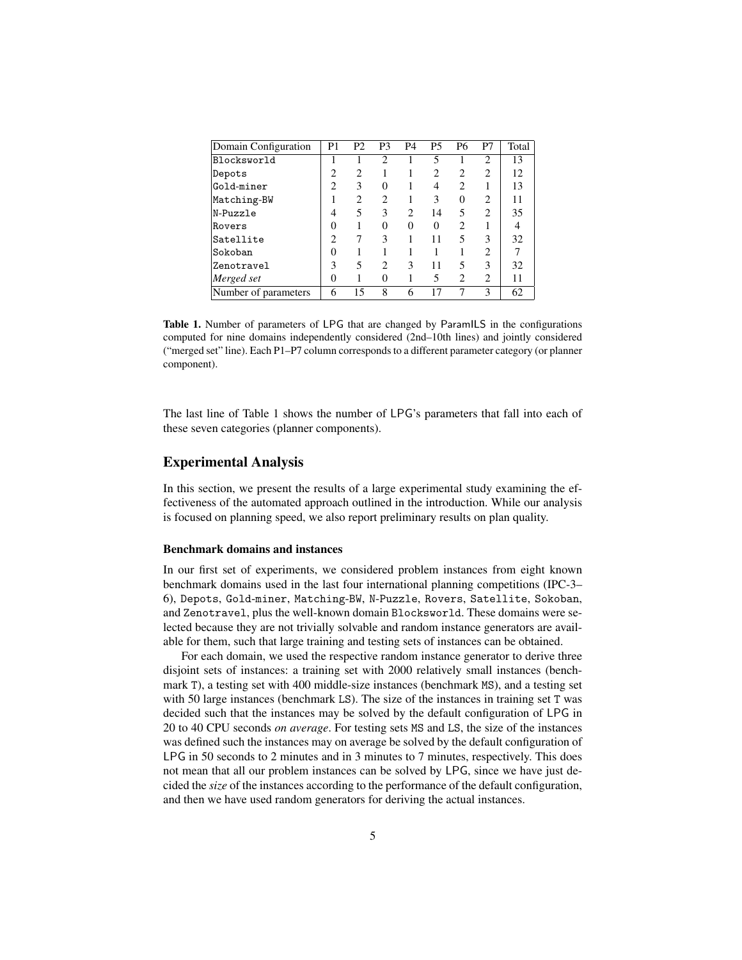| Domain Configuration | P <sub>1</sub> | P <sub>2</sub> | P <sub>3</sub> | P <sub>4</sub> | <b>P5</b> | P6             | P7             | Total |
|----------------------|----------------|----------------|----------------|----------------|-----------|----------------|----------------|-------|
| Blocksworld          |                |                | 2              |                | 5         |                | 2              | 13    |
| Depots               | $\overline{c}$ | 2              |                |                |           |                | $\overline{c}$ | 12    |
| Gold-miner           | 2              | 3              | 0              |                | 4         | 2              |                | 13    |
| Matching-BW          |                | 2              | 2              |                | 3         | $\Omega$       | 2              | 11    |
| N-Puzzle             | 4              | 5              | 3              | 2              | 14        | 5              | $\mathfrak{D}$ | 35    |
| Rovers               | 0              |                | 0              | 0              | 0         | っ              |                | 4     |
| Satellite            | 2              |                | 3              |                | 11        | 5              | 3              | 32    |
| Sokoban              | 0              |                |                |                |           |                | $\overline{c}$ | 7     |
| Zenotravel           | 3              | 5              |                | 3              | 11        | 5              | 3              | 32    |
| Merged set           | 0              |                |                |                | 5         | $\mathfrak{D}$ | $\overline{c}$ | 11    |
| Number of parameters | 6              | 15             | 8              | 6              |           |                | 3              | 62    |

Table 1. Number of parameters of LPG that are changed by ParamILS in the configurations computed for nine domains independently considered (2nd–10th lines) and jointly considered ("merged set" line). Each P1–P7 column corresponds to a different parameter category (or planner component).

The last line of Table 1 shows the number of LPG's parameters that fall into each of these seven categories (planner components).

## Experimental Analysis

In this section, we present the results of a large experimental study examining the effectiveness of the automated approach outlined in the introduction. While our analysis is focused on planning speed, we also report preliminary results on plan quality.

#### Benchmark domains and instances

In our first set of experiments, we considered problem instances from eight known benchmark domains used in the last four international planning competitions (IPC-3– 6), Depots, Gold-miner, Matching-BW, N-Puzzle, Rovers, Satellite, Sokoban, and Zenotravel, plus the well-known domain Blocksworld. These domains were selected because they are not trivially solvable and random instance generators are available for them, such that large training and testing sets of instances can be obtained.

For each domain, we used the respective random instance generator to derive three disjoint sets of instances: a training set with 2000 relatively small instances (benchmark T), a testing set with 400 middle-size instances (benchmark MS), and a testing set with 50 large instances (benchmark LS). The size of the instances in training set T was decided such that the instances may be solved by the default configuration of LPG in 20 to 40 CPU seconds *on average*. For testing sets MS and LS, the size of the instances was defined such the instances may on average be solved by the default configuration of LPG in 50 seconds to 2 minutes and in 3 minutes to 7 minutes, respectively. This does not mean that all our problem instances can be solved by LPG, since we have just decided the *size* of the instances according to the performance of the default configuration, and then we have used random generators for deriving the actual instances.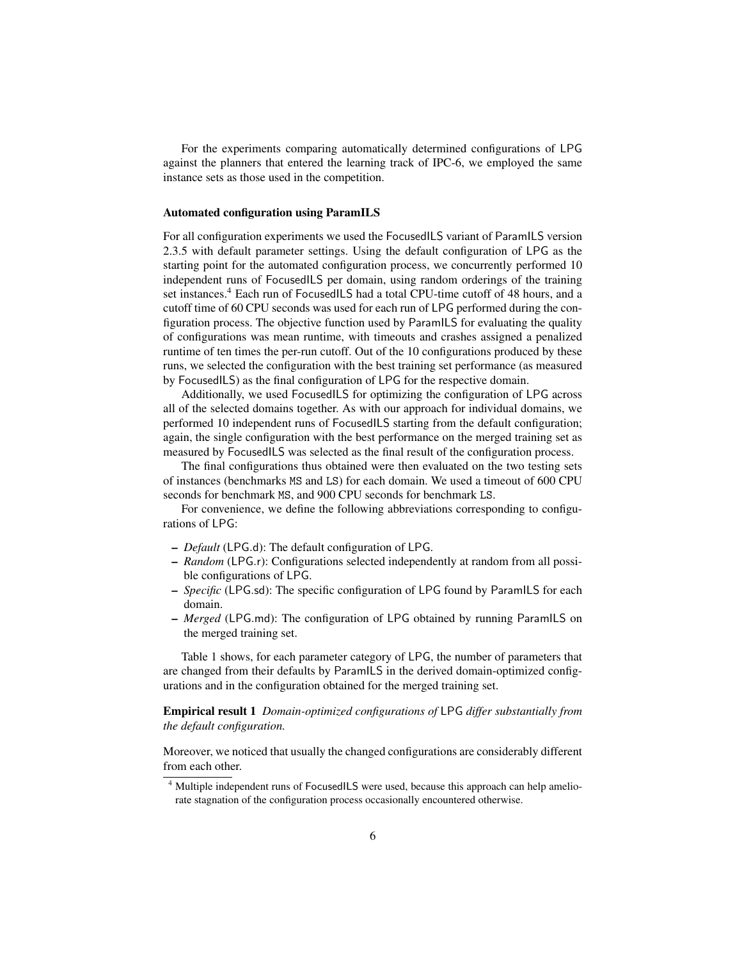For the experiments comparing automatically determined configurations of LPG against the planners that entered the learning track of IPC-6, we employed the same instance sets as those used in the competition.

#### Automated configuration using ParamILS

For all configuration experiments we used the FocusedILS variant of ParamILS version 2.3.5 with default parameter settings. Using the default configuration of LPG as the starting point for the automated configuration process, we concurrently performed 10 independent runs of FocusedILS per domain, using random orderings of the training set instances.<sup>4</sup> Each run of FocusedILS had a total CPU-time cutoff of 48 hours, and a cutoff time of 60 CPU seconds was used for each run of LPG performed during the configuration process. The objective function used by ParamILS for evaluating the quality of configurations was mean runtime, with timeouts and crashes assigned a penalized runtime of ten times the per-run cutoff. Out of the 10 configurations produced by these runs, we selected the configuration with the best training set performance (as measured by FocusedILS) as the final configuration of LPG for the respective domain.

Additionally, we used FocusedILS for optimizing the configuration of LPG across all of the selected domains together. As with our approach for individual domains, we performed 10 independent runs of FocusedILS starting from the default configuration; again, the single configuration with the best performance on the merged training set as measured by FocusedILS was selected as the final result of the configuration process.

The final configurations thus obtained were then evaluated on the two testing sets of instances (benchmarks MS and LS) for each domain. We used a timeout of 600 CPU seconds for benchmark MS, and 900 CPU seconds for benchmark LS.

For convenience, we define the following abbreviations corresponding to configurations of LPG:

- *Default* (LPG.d): The default configuration of LPG.
- *Random* (LPG.r): Configurations selected independently at random from all possible configurations of LPG.
- *Specific* (LPG.sd): The specific configuration of LPG found by ParamILS for each domain.
- *Merged* (LPG.md): The configuration of LPG obtained by running ParamILS on the merged training set.

Table 1 shows, for each parameter category of LPG, the number of parameters that are changed from their defaults by ParamILS in the derived domain-optimized configurations and in the configuration obtained for the merged training set.

Empirical result 1 *Domain-optimized configurations of* LPG *differ substantially from the default configuration.*

Moreover, we noticed that usually the changed configurations are considerably different from each other.

<sup>&</sup>lt;sup>4</sup> Multiple independent runs of FocusedILS were used, because this approach can help ameliorate stagnation of the configuration process occasionally encountered otherwise.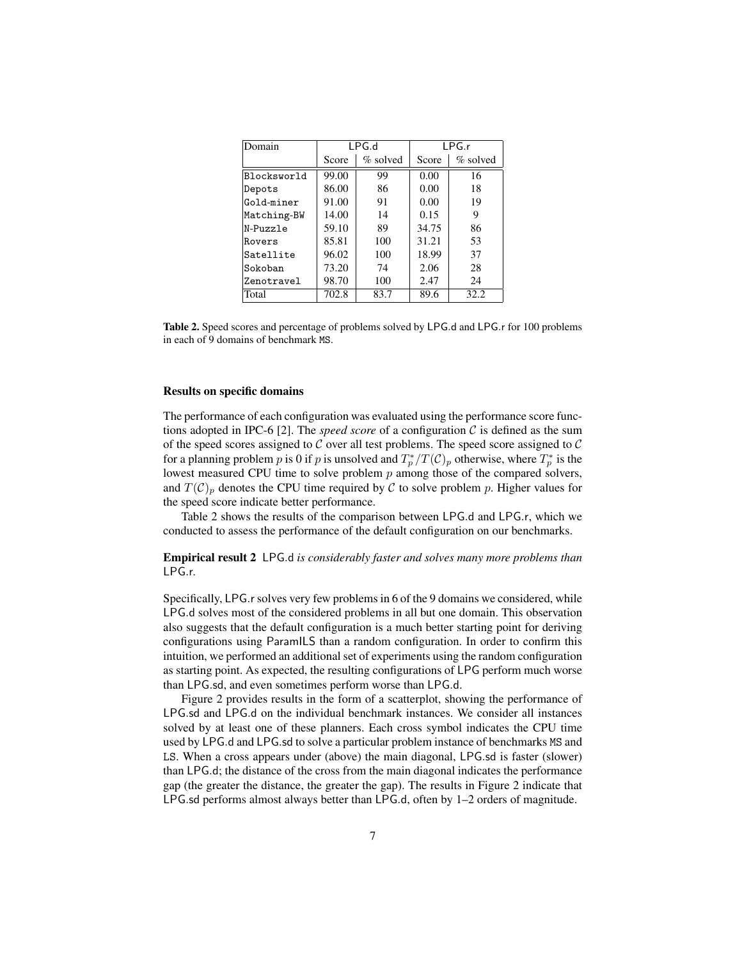| Domain      | LPG.d |             | LPG.r |             |
|-------------|-------|-------------|-------|-------------|
|             | Score | $\%$ solved | Score | $\%$ solved |
| Blocksworld | 99.00 | 99          | 0.00  | 16          |
| Depots      | 86.00 | 86          | 0.00  | 18          |
| Gold-miner  | 91.00 | 91          | 0.00  | 19          |
| Matching-BW | 14.00 | 14          | 0.15  | 9           |
| N-Puzzle    | 59.10 | 89          | 34.75 | 86          |
| Rovers      | 85.81 | 100         | 31.21 | 53          |
| Satellite   | 96.02 | 100         | 18.99 | 37          |
| Sokoban     | 73.20 | 74          | 2.06  | 28          |
| Zenotravel  | 98.70 | 100         | 2.47  | 24          |
| Total       | 702.8 | 83.7        | 89.6  | 32.2        |

Table 2. Speed scores and percentage of problems solved by LPG.d and LPG.r for 100 problems in each of 9 domains of benchmark MS.

#### Results on specific domains

The performance of each configuration was evaluated using the performance score functions adopted in IPC-6 [2]. The *speed score* of a configuration  $C$  is defined as the sum of the speed scores assigned to  $C$  over all test problems. The speed score assigned to  $C$ for a planning problem p is 0 if p is unsolved and  $T_p^*/T(\mathcal{C})_p$  otherwise, where  $T_p^*$  is the lowest measured CPU time to solve problem  $p$  among those of the compared solvers, and  $T(\mathcal{C})_p$  denotes the CPU time required by  $\mathcal C$  to solve problem p. Higher values for the speed score indicate better performance.

Table 2 shows the results of the comparison between LPG.d and LPG.r, which we conducted to assess the performance of the default configuration on our benchmarks.

Empirical result 2 LPG.d *is considerably faster and solves many more problems than* LPG.r*.*

Specifically, LPG.r solves very few problems in 6 of the 9 domains we considered, while LPG.d solves most of the considered problems in all but one domain. This observation also suggests that the default configuration is a much better starting point for deriving configurations using ParamILS than a random configuration. In order to confirm this intuition, we performed an additional set of experiments using the random configuration as starting point. As expected, the resulting configurations of LPG perform much worse than LPG.sd, and even sometimes perform worse than LPG.d.

Figure 2 provides results in the form of a scatterplot, showing the performance of LPG.sd and LPG.d on the individual benchmark instances. We consider all instances solved by at least one of these planners. Each cross symbol indicates the CPU time used by LPG.d and LPG.sd to solve a particular problem instance of benchmarks MS and LS. When a cross appears under (above) the main diagonal, LPG.sd is faster (slower) than LPG.d; the distance of the cross from the main diagonal indicates the performance gap (the greater the distance, the greater the gap). The results in Figure 2 indicate that LPG.sd performs almost always better than LPG.d, often by 1–2 orders of magnitude.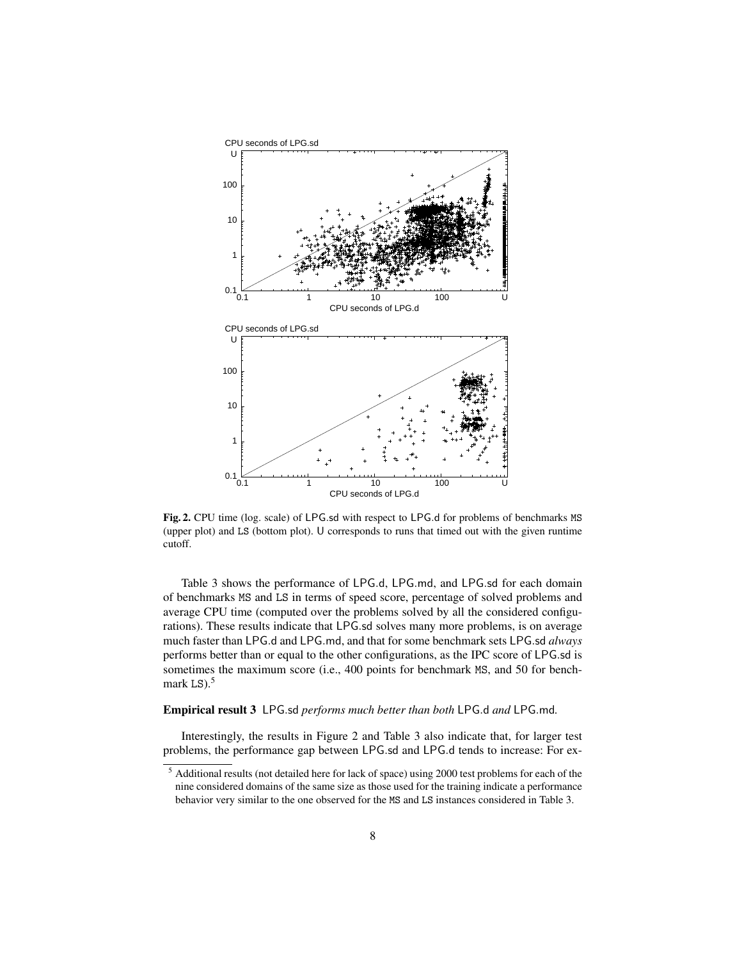

Fig. 2. CPU time (log. scale) of LPG.sd with respect to LPG.d for problems of benchmarks MS (upper plot) and LS (bottom plot). U corresponds to runs that timed out with the given runtime cutoff.

Table 3 shows the performance of LPG.d, LPG.md, and LPG.sd for each domain of benchmarks MS and LS in terms of speed score, percentage of solved problems and average CPU time (computed over the problems solved by all the considered configurations). These results indicate that LPG.sd solves many more problems, is on average much faster than LPG.d and LPG.md, and that for some benchmark sets LPG.sd *always* performs better than or equal to the other configurations, as the IPC score of LPG.sd is sometimes the maximum score (i.e., 400 points for benchmark MS, and 50 for benchmark LS $)$ .<sup>5</sup>

#### Empirical result 3 LPG.sd *performs much better than both* LPG.d *and* LPG.md*.*

Interestingly, the results in Figure 2 and Table 3 also indicate that, for larger test problems, the performance gap between LPG.sd and LPG.d tends to increase: For ex-

<sup>5</sup> Additional results (not detailed here for lack of space) using 2000 test problems for each of the nine considered domains of the same size as those used for the training indicate a performance behavior very similar to the one observed for the MS and LS instances considered in Table 3.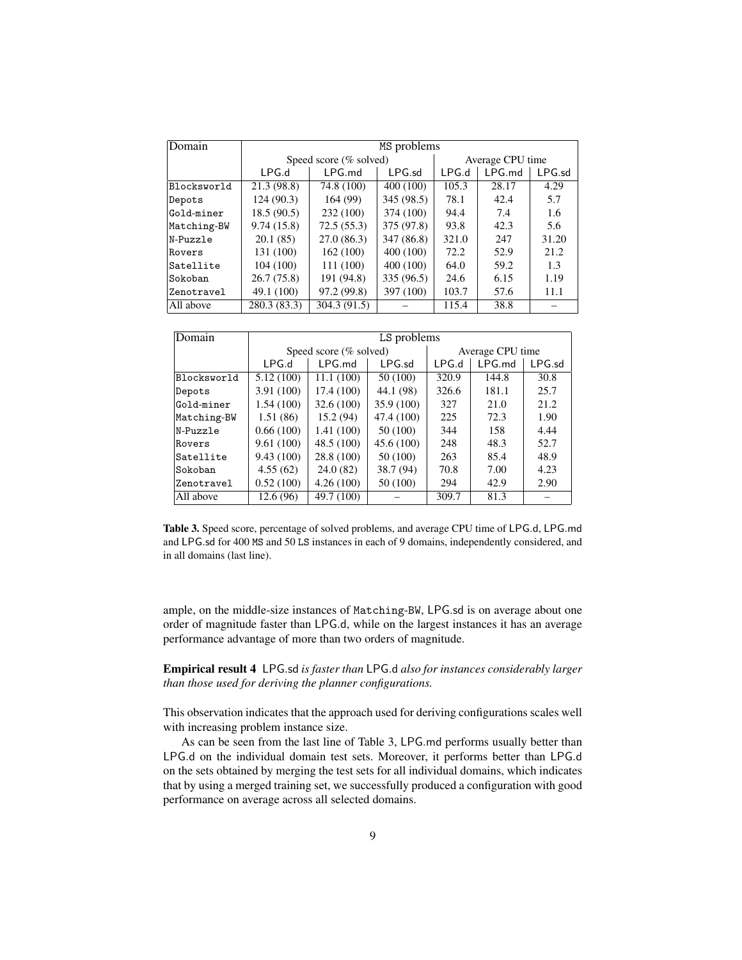| Domain      | MS problems            |              |            |                  |         |           |
|-------------|------------------------|--------------|------------|------------------|---------|-----------|
|             | Speed score (% solved) |              |            | Average CPU time |         |           |
|             | LPG.d                  | $LPG$ .md    | $LPG$ .sd  | LPG.d            | I PG md | $LPG$ .sd |
| Blocksworld | 21.3 (98.8)            | 74.8 (100)   | 400 (100)  | 105.3            | 28.17   | 4.29      |
| Depots      | 124 (90.3)             | 164 (99)     | 345 (98.5) | 78.1             | 42.4    | 5.7       |
| Gold-miner  | 18.5(90.5)             | 232 (100)    | 374 (100)  | 94.4             | 7.4     | 1.6       |
| Matching-BW | 9.74(15.8)             | 72.5(55.3)   | 375 (97.8) | 93.8             | 42.3    | 5.6       |
| N-Puzzle    | 20.1(85)               | 27.0(86.3)   | 347 (86.8) | 321.0            | 247     | 31.20     |
| Rovers      | 131 (100)              | 162(100)     | 400 (100)  | 72.2             | 52.9    | 21.2      |
| Satellite   | 104(100)               | 111 (100)    | 400 (100)  | 64.0             | 59.2    | 1.3       |
| Sokoban     | 26.7 (75.8)            | 191 (94.8)   | 335 (96.5) | 24.6             | 6.15    | 1.19      |
| Zenotravel  | 49.1 (100)             | 97.2 (99.8)  | 397 (100)  | 103.7            | 57.6    | 11.1      |
| All above   | 280.3 (83.3)           | 304.3 (91.5) |            | 115.4            | 38.8    |           |

| Domain      | LS problems |                        |            |                  |           |           |
|-------------|-------------|------------------------|------------|------------------|-----------|-----------|
|             |             | Speed score (% solved) |            | Average CPU time |           |           |
|             | LPG.d       | LPG.md                 | $LPG$ .sd  | LPG.d            | $LPG$ .md | $LPG$ .sd |
| Blocksworld | 5.12(100)   | 11.1(100)              | 50 (100)   | 320.9            | 144.8     | 30.8      |
| Depots      | 3.91(100)   | 17.4 (100)             | 44.1 (98)  | 326.6            | 181.1     | 25.7      |
| Gold-miner  | 1.54(100)   | 32.6(100)              | 35.9 (100) | 327              | 21.0      | 21.2      |
| Matching-BW | 1.51(86)    | 15.2(94)               | 47.4 (100) | 225              | 72.3      | 1.90      |
| N-Puzzle    | 0.66(100)   | 1.41(100)              | 50 (100)   | 344              | 158       | 4.44      |
| Rovers      | 9.61(100)   | 48.5 (100)             | 45.6 (100) | 248              | 48.3      | 52.7      |
| Satellite   | 9.43(100)   | 28.8 (100)             | 50 (100)   | 263              | 85.4      | 48.9      |
| Sokoban     | 4.55(62)    | 24.0(82)               | 38.7 (94)  | 70.8             | 7.00      | 4.23      |
| Zenotravel  | 0.52(100)   | 4.26(100)              | 50 (100)   | 294              | 42.9      | 2.90      |
| All above   | 12.6(96)    | 49.7 (100)             |            | 309.7            | 81.3      |           |

Table 3. Speed score, percentage of solved problems, and average CPU time of LPG.d, LPG.md and LPG.sd for 400 MS and 50 LS instances in each of 9 domains, independently considered, and in all domains (last line).

ample, on the middle-size instances of Matching-BW, LPG.sd is on average about one order of magnitude faster than LPG.d, while on the largest instances it has an average performance advantage of more than two orders of magnitude.

Empirical result 4 LPG.sd *is faster than* LPG.d *also for instances considerably larger than those used for deriving the planner configurations.*

This observation indicates that the approach used for deriving configurations scales well with increasing problem instance size.

As can be seen from the last line of Table 3, LPG.md performs usually better than LPG.d on the individual domain test sets. Moreover, it performs better than LPG.d on the sets obtained by merging the test sets for all individual domains, which indicates that by using a merged training set, we successfully produced a configuration with good performance on average across all selected domains.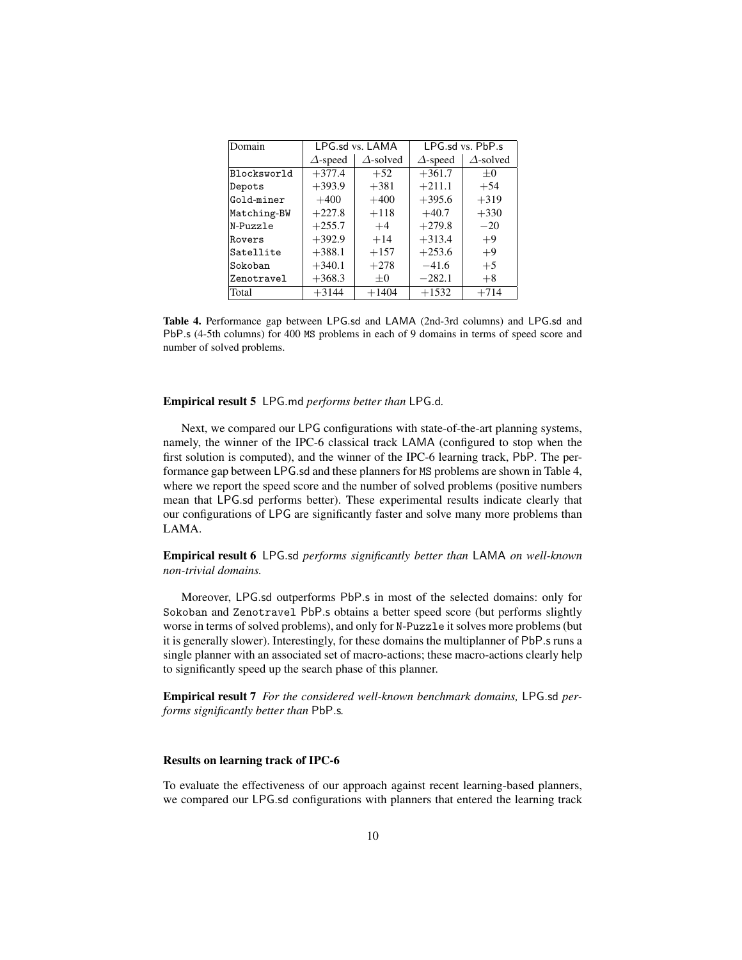| Domain      | LPG.sd vs. LAMA |                  |                 | LPG.sd vs. PbP.s |
|-------------|-----------------|------------------|-----------------|------------------|
|             | $\Delta$ -speed | $\Delta$ -solved | $\Delta$ -speed | $\Delta$ -solved |
| Blocksworld | $+377.4$        | $+52$            | $+361.7$        | $+0$             |
| Depots      | $+393.9$        | $+381$           | $+211.1$        | $+54$            |
| Gold-miner  | $+400$          | $+400$           | $+395.6$        | $+319$           |
| Matching-BW | $+227.8$        | $+118$           | $+40.7$         | $+330$           |
| N-Puzzle    | $+255.7$        | $+4$             | $+279.8$        | $-20$            |
| Rovers      | $+392.9$        | $+14$            | $+313.4$        | $+9$             |
| Satellite   | $+388.1$        | $+157$           | $+253.6$        | $+9$             |
| Sokoban     | $+340.1$        | $+278$           | $-41.6$         | $+5$             |
| Zenotravel  | $+368.3$        | $+0$             | $-282.1$        | $+8$             |
| Total       | $+3144$         | $+1404$          | $+1532$         | $+714$           |

Table 4. Performance gap between LPG.sd and LAMA (2nd-3rd columns) and LPG.sd and PbP.s (4-5th columns) for 400 MS problems in each of 9 domains in terms of speed score and number of solved problems.

#### Empirical result 5 LPG.md *performs better than* LPG.d*.*

Next, we compared our LPG configurations with state-of-the-art planning systems, namely, the winner of the IPC-6 classical track LAMA (configured to stop when the first solution is computed), and the winner of the IPC-6 learning track, PbP. The performance gap between LPG.sd and these planners for MS problems are shown in Table 4, where we report the speed score and the number of solved problems (positive numbers mean that LPG.sd performs better). These experimental results indicate clearly that our configurations of LPG are significantly faster and solve many more problems than LAMA.

Empirical result 6 LPG.sd *performs significantly better than* LAMA *on well-known non-trivial domains.*

Moreover, LPG.sd outperforms PbP.s in most of the selected domains: only for Sokoban and Zenotravel PbP.s obtains a better speed score (but performs slightly worse in terms of solved problems), and only for N-Puzzle it solves more problems (but it is generally slower). Interestingly, for these domains the multiplanner of PbP.s runs a single planner with an associated set of macro-actions; these macro-actions clearly help to significantly speed up the search phase of this planner.

Empirical result 7 *For the considered well-known benchmark domains,* LPG.sd *performs significantly better than* PbP.s*.*

#### Results on learning track of IPC-6

To evaluate the effectiveness of our approach against recent learning-based planners, we compared our LPG.sd configurations with planners that entered the learning track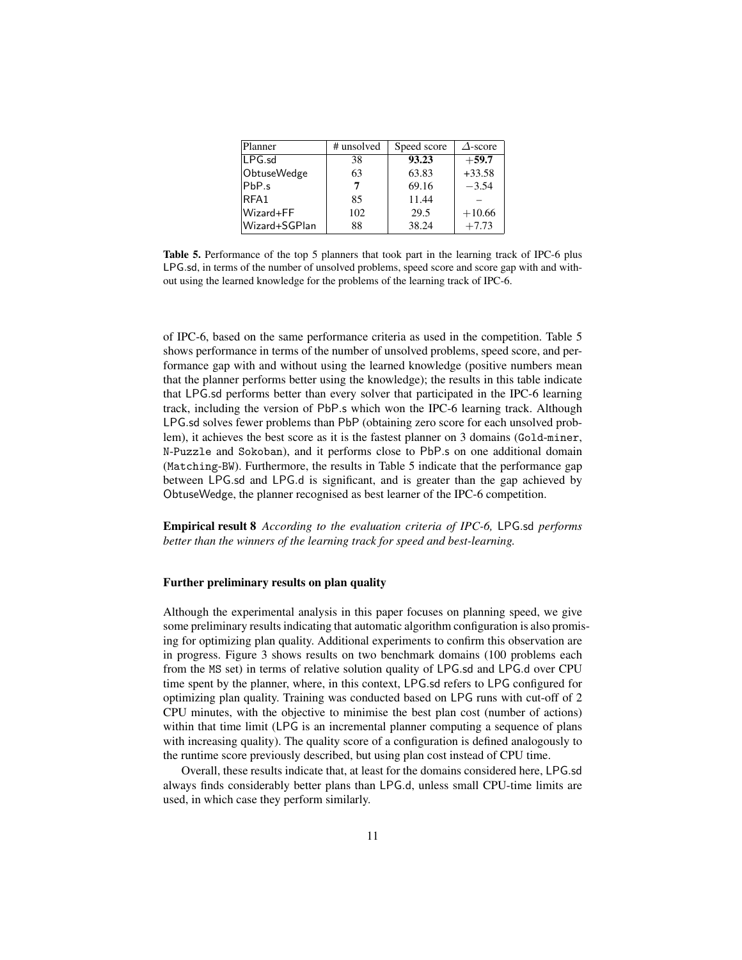| Planner            | # unsolved | Speed score | $\triangle$ -score |
|--------------------|------------|-------------|--------------------|
| $LPG$ .sd          | 38         | 93.23       | $+59.7$            |
| <b>ObtuseWedge</b> | 63         | 63.83       | $+33.58$           |
| $ PbP_{.S} $       | 7          | 69.16       | $-3.54$            |
| RFA1               | 85         | 11.44       |                    |
| Wizard+FF          | 102        | 29.5        | $+10.66$           |
| Wizard+SGPlan      | 88         | 38.24       | $+7.73$            |

Table 5. Performance of the top 5 planners that took part in the learning track of IPC-6 plus LPG.sd, in terms of the number of unsolved problems, speed score and score gap with and without using the learned knowledge for the problems of the learning track of IPC-6.

of IPC-6, based on the same performance criteria as used in the competition. Table 5 shows performance in terms of the number of unsolved problems, speed score, and performance gap with and without using the learned knowledge (positive numbers mean that the planner performs better using the knowledge); the results in this table indicate that LPG.sd performs better than every solver that participated in the IPC-6 learning track, including the version of PbP.s which won the IPC-6 learning track. Although LPG.sd solves fewer problems than PbP (obtaining zero score for each unsolved problem), it achieves the best score as it is the fastest planner on 3 domains (Gold-miner, N-Puzzle and Sokoban), and it performs close to PbP.s on one additional domain (Matching-BW). Furthermore, the results in Table 5 indicate that the performance gap between LPG.sd and LPG.d is significant, and is greater than the gap achieved by ObtuseWedge, the planner recognised as best learner of the IPC-6 competition.

Empirical result 8 *According to the evaluation criteria of IPC-6,* LPG.sd *performs better than the winners of the learning track for speed and best-learning.*

#### Further preliminary results on plan quality

Although the experimental analysis in this paper focuses on planning speed, we give some preliminary results indicating that automatic algorithm configuration is also promising for optimizing plan quality. Additional experiments to confirm this observation are in progress. Figure 3 shows results on two benchmark domains (100 problems each from the MS set) in terms of relative solution quality of LPG.sd and LPG.d over CPU time spent by the planner, where, in this context, LPG.sd refers to LPG configured for optimizing plan quality. Training was conducted based on LPG runs with cut-off of 2 CPU minutes, with the objective to minimise the best plan cost (number of actions) within that time limit (LPG is an incremental planner computing a sequence of plans with increasing quality). The quality score of a configuration is defined analogously to the runtime score previously described, but using plan cost instead of CPU time.

Overall, these results indicate that, at least for the domains considered here, LPG.sd always finds considerably better plans than LPG.d, unless small CPU-time limits are used, in which case they perform similarly.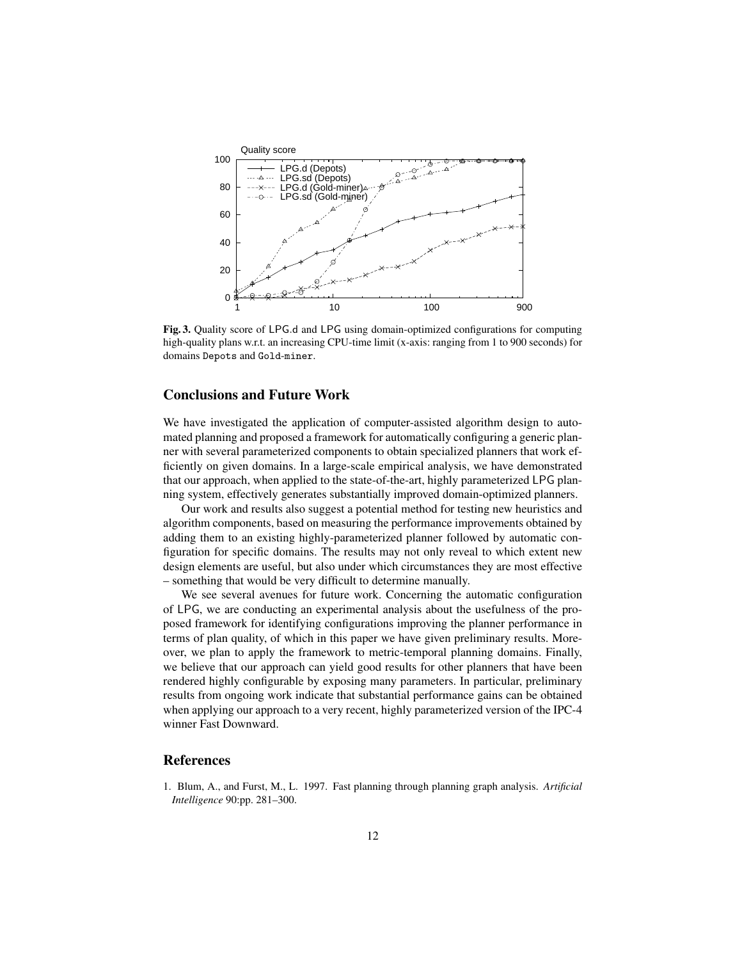

Fig. 3. Quality score of LPG.d and LPG using domain-optimized configurations for computing high-quality plans w.r.t. an increasing CPU-time limit (x-axis: ranging from 1 to 900 seconds) for domains Depots and Gold-miner.

# Conclusions and Future Work

We have investigated the application of computer-assisted algorithm design to automated planning and proposed a framework for automatically configuring a generic planner with several parameterized components to obtain specialized planners that work efficiently on given domains. In a large-scale empirical analysis, we have demonstrated that our approach, when applied to the state-of-the-art, highly parameterized LPG planning system, effectively generates substantially improved domain-optimized planners.

Our work and results also suggest a potential method for testing new heuristics and algorithm components, based on measuring the performance improvements obtained by adding them to an existing highly-parameterized planner followed by automatic configuration for specific domains. The results may not only reveal to which extent new design elements are useful, but also under which circumstances they are most effective – something that would be very difficult to determine manually.

We see several avenues for future work. Concerning the automatic configuration of LPG, we are conducting an experimental analysis about the usefulness of the proposed framework for identifying configurations improving the planner performance in terms of plan quality, of which in this paper we have given preliminary results. Moreover, we plan to apply the framework to metric-temporal planning domains. Finally, we believe that our approach can yield good results for other planners that have been rendered highly configurable by exposing many parameters. In particular, preliminary results from ongoing work indicate that substantial performance gains can be obtained when applying our approach to a very recent, highly parameterized version of the IPC-4 winner Fast Downward.

## References

1. Blum, A., and Furst, M., L. 1997. Fast planning through planning graph analysis. *Artificial Intelligence* 90:pp. 281–300.